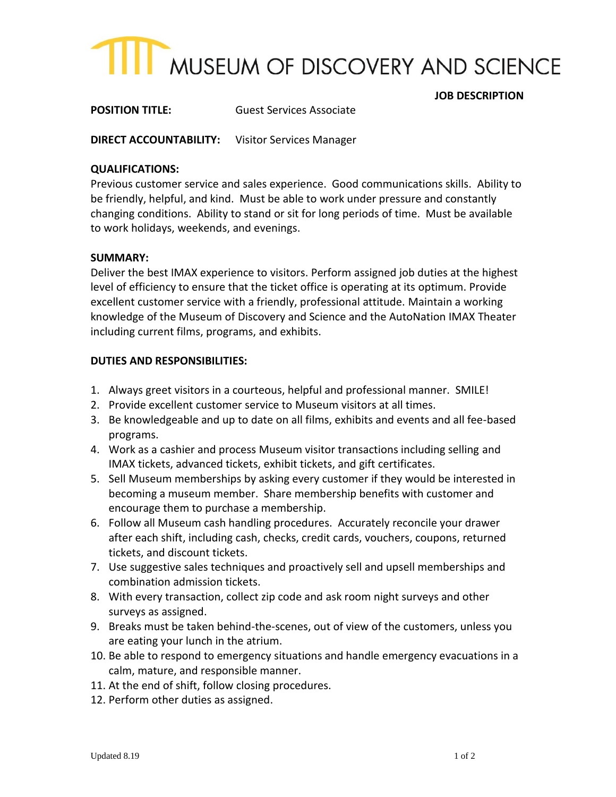

**POSITION TITLE:** Guest Services Associate

**DIRECT ACCOUNTABILITY:** Visitor Services Manager

#### **QUALIFICATIONS:**

Previous customer service and sales experience. Good communications skills. Ability to be friendly, helpful, and kind. Must be able to work under pressure and constantly changing conditions. Ability to stand or sit for long periods of time. Must be available to work holidays, weekends, and evenings.

#### **SUMMARY:**

Deliver the best IMAX experience to visitors. Perform assigned job duties at the highest level of efficiency to ensure that the ticket office is operating at its optimum. Provide excellent customer service with a friendly, professional attitude. Maintain a working knowledge of the Museum of Discovery and Science and the AutoNation IMAX Theater including current films, programs, and exhibits.

#### **DUTIES AND RESPONSIBILITIES:**

- 1. Always greet visitors in a courteous, helpful and professional manner. SMILE!
- 2. Provide excellent customer service to Museum visitors at all times.
- 3. Be knowledgeable and up to date on all films, exhibits and events and all fee-based programs.
- 4. Work as a cashier and process Museum visitor transactions including selling and IMAX tickets, advanced tickets, exhibit tickets, and gift certificates.
- 5. Sell Museum memberships by asking every customer if they would be interested in becoming a museum member. Share membership benefits with customer and encourage them to purchase a membership.
- 6. Follow all Museum cash handling procedures. Accurately reconcile your drawer after each shift, including cash, checks, credit cards, vouchers, coupons, returned tickets, and discount tickets.
- 7. Use suggestive sales techniques and proactively sell and upsell memberships and combination admission tickets.
- 8. With every transaction, collect zip code and ask room night surveys and other surveys as assigned.
- 9. Breaks must be taken behind-the-scenes, out of view of the customers, unless you are eating your lunch in the atrium.
- 10. Be able to respond to emergency situations and handle emergency evacuations in a calm, mature, and responsible manner.
- 11. At the end of shift, follow closing procedures.
- 12. Perform other duties as assigned.

 **JOB DESCRIPTION**